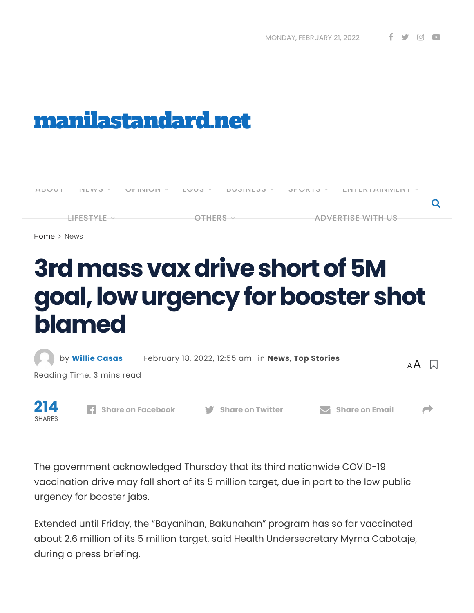# [manilastandard.net](https://manilastandard.net/)



[Home](https://manilastandard.net/) > [News](https://manilastandard.net/category/news)

# **3rdmassvaxdriveshortof5M goal,lowurgencyforboostershot blamed**



The government acknowledged Thursday that its third nationwide COVID-19 vaccination drive may fall short of its 5 million target, due in part to the low public urgency for booster jabs.

Extended until Friday, the "Bayanihan, Bakunahan" program has so far vaccinated about 2.6 million of its 5 million target, said Health Undersecretary Myrna Cabotaje, during a press briefing.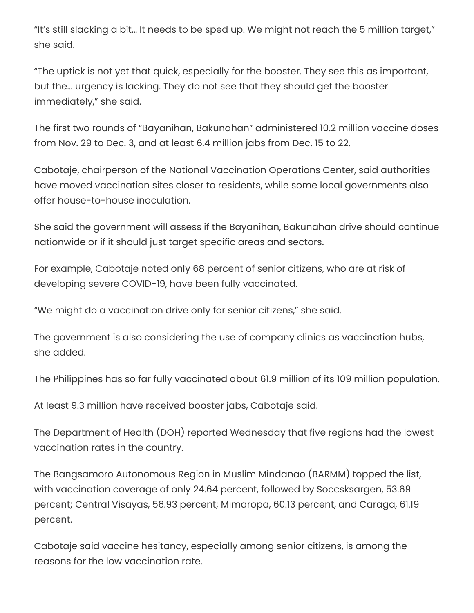"It's still slacking a bit… It needs to be sped up. We might not reach the 5 million target," she said.

"The uptick is not yet that quick, especially for the booster. They see this as important, but the… urgency is lacking. They do not see that they should get the booster immediately," she said.

The first two rounds of "Bayanihan, Bakunahan" administered 10.2 million vaccine doses from Nov. 29 to Dec. 3, and at least 6.4 million jabs from Dec. 15 to 22.

Cabotaje, chairperson of the National Vaccination Operations Center, said authorities have moved vaccination sites closer to residents, while some local governments also offer house-to-house inoculation.

She said the government will assess if the Bayanihan, Bakunahan drive should continue nationwide or if it should just target specific areas and sectors.

For example, Cabotaje noted only 68 percent of senior citizens, who are at risk of developing severe COVID-19, have been fully vaccinated.

"We might do a vaccination drive only for senior citizens," she said.

The government is also considering the use of company clinics as vaccination hubs, she added.

The Philippines has so far fully vaccinated about 61.9 million of its 109 million population.

At least 9.3 million have received booster jabs, Cabotaje said.

The Department of Health (DOH) reported Wednesday that five regions had the lowest vaccination rates in the country.

The Bangsamoro Autonomous Region in Muslim Mindanao (BARMM) topped the list, with vaccination coverage of only 24.64 percent, followed by Soccsksargen, 53.69 percent; Central Visayas, 56.93 percent; Mimaropa, 60.13 percent, and Caraga, 61.19 percent.

Cabotaje said vaccine hesitancy, especially among senior citizens, is among the reasons for the low vaccination rate.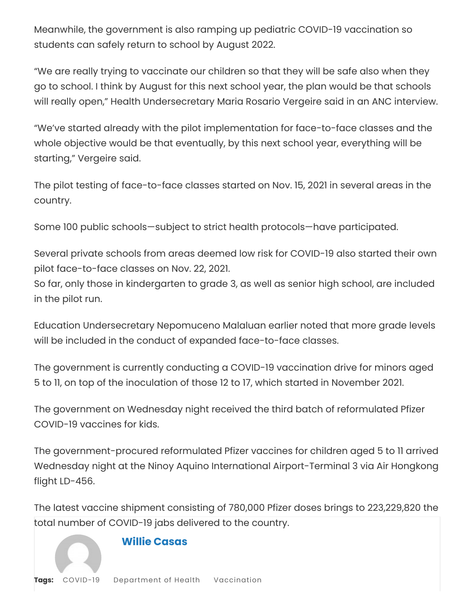Meanwhile, the government is also ramping up pediatric COVID-19 vaccination so students can safely return to school by August 2022.

"We are really trying to vaccinate our children so that they will be safe also when they go to school. I think by August for this next school year, the plan would be that schools will really open," Health Undersecretary Maria Rosario Vergeire said in an ANC interview.

"We've started already with the pilot implementation for face-to-face classes and the whole objective would be that eventually, by this next school year, everything will be starting," Vergeire said.

The pilot testing of face-to-face classes started on Nov. 15, 2021 in several areas in the country.

Some 100 public schools—subject to strict health protocols—have participated.

Several private schools from areas deemed low risk for COVID-19 also started their own pilot face-to-face classes on Nov. 22, 2021.

So far, only those in kindergarten to grade 3, as well as senior high school, are included in the pilot run.

Education Undersecretary Nepomuceno Malaluan earlier noted that more grade levels will be included in the conduct of expanded face-to-face classes.

The government is currently conducting a COVID-19 vaccination drive for minors aged 5 to 11, on top of the inoculation of those 12 to 17, which started in November 2021.

The government on Wednesday night received the third batch of reformulated Pfizer COVID-19 vaccines for kids.

The government-procured reformulated Pfizer vaccines for children aged 5 to 11 arrived Wednesday night at the Ninoy Aquino International Airport-Terminal 3 via Air Hongkong flight LD-456.

The latest vaccine shipment consisting of 780,000 Pfizer doses brings to 223,229,820 the total number of COVID-19 jabs delivered to the country.

### **Willie [Casas](https://manilastandard.net/author/williecasas)**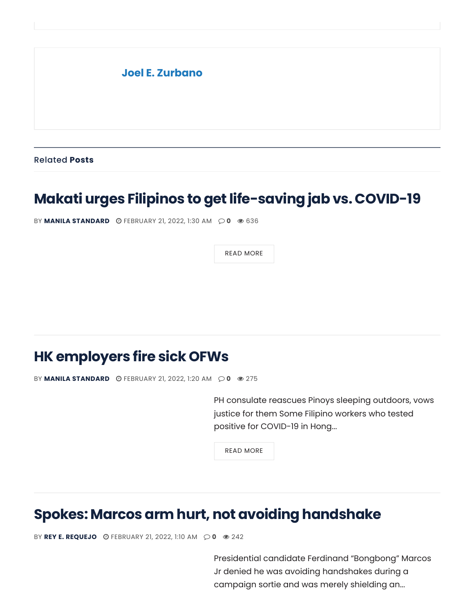# **Joel E. [Zurbano](https://manilastandard.net/author/joel-e-zurbano)**

Related **Posts**

# **Makati urges Filipinos to get [life-saving](https://manilastandard.net/news/314025224/makati-urges-filipinos-to-get-life-saving-jab-vs-covid-19-2.html) jab vs. COVID-19**

BY **MANILA [STANDARD](https://manilastandard.net/author/mst)** [FEBRUARY](https://manilastandard.net/news/314025224/makati-urges-filipinos-to-get-life-saving-jab-vs-covid-19-2.html) 21, 2022, 1:30 AM **0** [636](https://manilastandard.net/news/314025224/makati-urges-filipinos-to-get-life-saving-jab-vs-covid-19-2.html)

READ [MORE](https://manilastandard.net/news/314025224/makati-urges-filipinos-to-get-life-saving-jab-vs-covid-19-2.html)

# **[HKemployers](https://manilastandard.net/news/314208798/hk-employers-fire-sick-ofws.html) fire sick OFWs**

BY **MANILA [STANDARD](https://manilastandard.net/author/mst)** [FEBRUARY](https://manilastandard.net/news/314208798/hk-employers-fire-sick-ofws.html) 21, 2022, 1:20 AM **0** [275](https://manilastandard.net/news/314208798/hk-employers-fire-sick-ofws.html)

PH consulate reascues Pinoys sleeping outdoors, vows justice for them Some Filipino workers who tested positive for COVID-19 in Hong...

READ [MORE](https://manilastandard.net/news/314208798/hk-employers-fire-sick-ofws.html)

# **Spokes: Marcos armhurt, not avoiding [handshake](https://manilastandard.net/news/314208793/spokes-marcos-arm-hurt-not-avoiding-handshake.html)**

BY **REY E. [REQUEJO](https://manilastandard.net/author/rey-e-requejo)** [FEBRUARY](https://manilastandard.net/news/314208793/spokes-marcos-arm-hurt-not-avoiding-handshake.html) 21, 2022, 1:10 AM **0** [242](https://manilastandard.net/news/314208793/spokes-marcos-arm-hurt-not-avoiding-handshake.html)

Presidential candidate Ferdinand "Bongbong" Marcos Jr denied he was avoiding handshakes during a campaign sortie and was merely shielding an...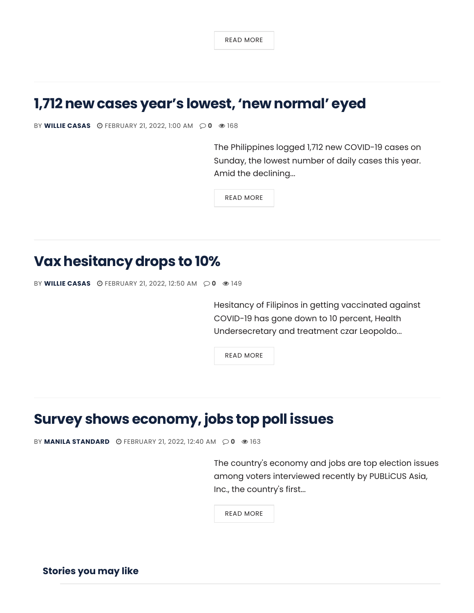READ [MORE](https://manilastandard.net/news/314208793/spokes-marcos-arm-hurt-not-avoiding-handshake.html)

# **1,712 new cases year's lowest, 'new [normal'](https://manilastandard.net/news/314208791/1712-new-cases-years-lowest-new-normal-eyed.html) eyed**

BY **WILLIE [CASAS](https://manilastandard.net/author/williecasas)** © [FEBRUARY](https://manilastandard.net/news/314208791/1712-new-cases-years-lowest-new-normal-eyed.html) 21, 2022, 1:00 AM  $\odot$  0 © [168](https://manilastandard.net/news/314208791/1712-new-cases-years-lowest-new-normal-eyed.html)

The Philippines logged 1,712 new COVID-19 cases on Sunday, the lowest number of daily cases this year. Amid the declining...

READ [MORE](https://manilastandard.net/news/314208791/1712-new-cases-years-lowest-new-normal-eyed.html)

# **Vax [hesitancy](https://manilastandard.net/news/314208789/vax-hesitancy-drops-to-10.html) drops to 10%**

```
BY CASASFEBRUARY 21, 2022, 12:50 AM \odot 0 \odot149
```
Hesitancy of Filipinos in getting vaccinated against COVID-19 has gone down to 10 percent, Health Undersecretary and treatment czar Leopoldo...

READ [MORE](https://manilastandard.net/news/314208789/vax-hesitancy-drops-to-10.html)

# **Survey shows [economy,](https://manilastandard.net/news/314208787/survey-shows-economy-jobs-top-poll-issues.html) jobs top poll issues**

BY **MANILA [STANDARD](https://manilastandard.net/author/mst)** © [FEBRUARY](https://manilastandard.net/news/314208787/survey-shows-economy-jobs-top-poll-issues.html) 21, 2022, 12:40 AM  $\odot$  0  $\otimes$  [163](https://manilastandard.net/news/314208787/survey-shows-economy-jobs-top-poll-issues.html)

The country's economy and jobs are top election issues among voters interviewed recently by PUBLiCUS Asia, Inc., the country's first...

READ [MORE](https://manilastandard.net/news/314208787/survey-shows-economy-jobs-top-poll-issues.html)

**Stories you may like**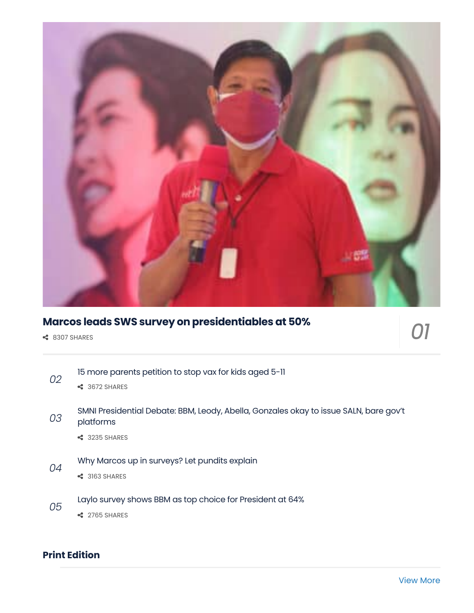

## **Marcos leads SWS survey on [presidentiables](https://manilastandard.net/news/314206809/marcos-leads-sws-survey-on-presidentiables-at-50.html) at 50%**

**←** 8307 SHARES

*01*

- 15 more [parents](https://manilastandard.net/news/314208283/15-more-parents-petition-to-stop-vax-for-kids-aged-5-11.html) petition to stop vax for kids aged 5-11 3672 SHARES *02* SMNI [Presidential](https://manilastandard.net/news/314207806/smni-presidential-debate-bbm-leody-abella-gonzales-okay-to-issue-saln-bare-govt-platforms.html) Debate: BBM, Leody, Abella, Gonzales okay to issue SALN, bare gov't platforms 3235 SHARES *03* Why Marcos up in [surveys?](https://manilastandard.net/news/314207264/why-marcos-up-in-surveys-let-pundits-explain.html) Let pundits explain 3163 SHARES *04*
- Laylo survey shows BBM as top choice for [President](https://manilastandard.net/news/314206215/laylo-survey-shows-bbm-as-top-choice-for-president-at-64.html) at 64% *05*
	- **←** 2765 SHARES

### **Print Edition**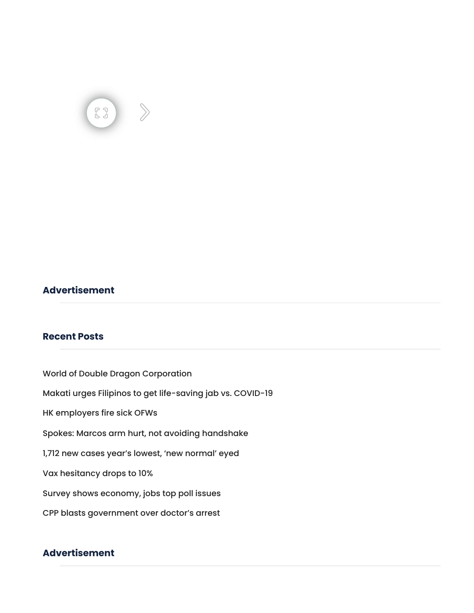### **Advertisement**

### **Recent Posts**

World of Double Dragon [Corporation](https://manilastandard.net/business/314208551/world-of-double-dragon-corporation-02212022.html) Makati urges Filipinos to get [life-saving](https://manilastandard.net/news/314025224/makati-urges-filipinos-to-get-life-saving-jab-vs-covid-19-2.html) jab vs. COVID-19 HK [employers](https://manilastandard.net/news/314208798/hk-employers-fire-sick-ofws.html) fire sick OFWs Spokes: Marcos arm hurt, not avoiding [handshake](https://manilastandard.net/news/314208793/spokes-marcos-arm-hurt-not-avoiding-handshake.html) 1,712 new cases year's lowest, 'new [normal'](https://manilastandard.net/news/314208791/1712-new-cases-years-lowest-new-normal-eyed.html) eyed Vax [hesitancy](https://manilastandard.net/news/314208789/vax-hesitancy-drops-to-10.html) drops to 10% Survey shows [economy,](https://manilastandard.net/news/314208787/survey-shows-economy-jobs-top-poll-issues.html) jobs top poll issues CPP blasts [government](https://manilastandard.net/news/314208785/cpp-blasts-government-over-doctors-arrest.html) over doctor's arrest

### **Advertisement**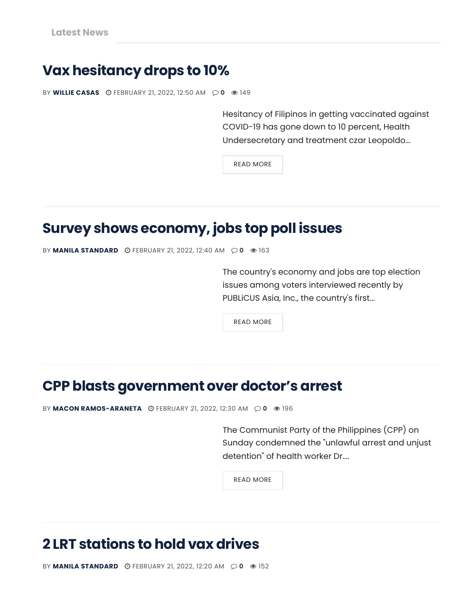# **Vax [hesitancy](https://manilastandard.net/news/314208789/vax-hesitancy-drops-to-10.html) drops to 10%**

BY **WILLIE [CASAS](https://manilastandard.net/author/williecasas)** [FEBRUARY](https://manilastandard.net/news/314208789/vax-hesitancy-drops-to-10.html) 21, 2022, 12:50 AM **0** [149](https://manilastandard.net/news/314208789/vax-hesitancy-drops-to-10.html)

Hesitancy of Filipinos in getting vaccinated against COVID-19 has gone down to 10 percent, Health Undersecretary and treatment czar Leopoldo...

READ [MORE](https://manilastandard.net/news/314208789/vax-hesitancy-drops-to-10.html)

# **Survey shows [economy,](https://manilastandard.net/news/314208787/survey-shows-economy-jobs-top-poll-issues.html) jobs top poll issues**

BY **MANILA [STANDARD](https://manilastandard.net/author/mst)** © [FEBRUARY](https://manilastandard.net/news/314208787/survey-shows-economy-jobs-top-poll-issues.html) 21, 2022, 12:40 AM  $\odot$  0  $\odot$  [163](https://manilastandard.net/news/314208787/survey-shows-economy-jobs-top-poll-issues.html)

The country's economy and jobs are top election issues among voters interviewed recently by PUBLiCUS Asia, Inc., the country's first...

READ [MORE](https://manilastandard.net/news/314208787/survey-shows-economy-jobs-top-poll-issues.html)

# **CPP blasts [government](https://manilastandard.net/news/314208785/cpp-blasts-government-over-doctors-arrest.html) over doctor's arrest**

BY MACON [RAMOS-ARANETA](https://manilastandard.net/author/macon-ramos-araneta) © [FEBRUARY](https://manilastandard.net/news/314208785/cpp-blasts-government-over-doctors-arrest.html) 21, 2022, 12:30 AM  $\odot$  0  $\odot$  [196](https://manilastandard.net/news/314208785/cpp-blasts-government-over-doctors-arrest.html)

The Communist Party of the Philippines (CPP) on Sunday condemned the "unlawful arrest and unjust detention" of health worker Dr....

READ [MORE](https://manilastandard.net/news/314208785/cpp-blasts-government-over-doctors-arrest.html)

# **2 LRT [stations](https://manilastandard.net/news/314208731/2-lrt-stations-to-hold-vax-drives.html) to hold vax drives**

BY **MANILA [STANDARD](https://manilastandard.net/author/mst)** © [FEBRUARY](https://manilastandard.net/news/314208731/2-lrt-stations-to-hold-vax-drives.html) 21, 2022, 12:20 AM  $\odot$  0  $\odot$  [152](https://manilastandard.net/news/314208731/2-lrt-stations-to-hold-vax-drives.html)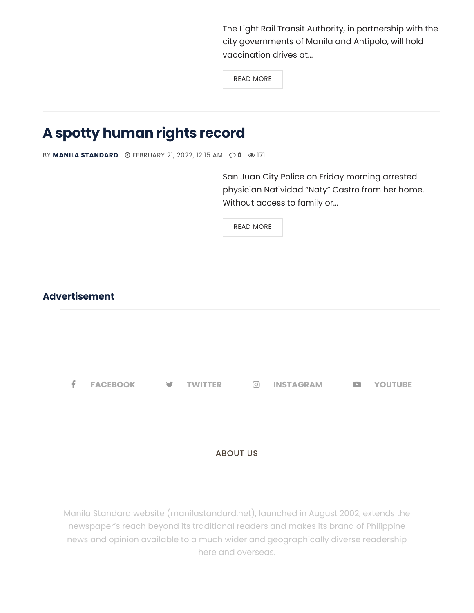The Light Rail Transit Authority, in partnership with the city governments of Manila and Antipolo, will hold vaccination drives at...

READ [MORE](https://manilastandard.net/news/314208731/2-lrt-stations-to-hold-vax-drives.html)

# **A spotty [human](https://manilastandard.net/opinion/editorial/314208719/a-spotty-human-rights-record.html) rights record**

BY **MANILA [STANDARD](https://manilastandard.net/author/mst)** © [FEBRUARY](https://manilastandard.net/opinion/editorial/314208719/a-spotty-human-rights-record.html) 21, 2022, 12:15 AM  $\odot$  0  $\odot$  [171](https://manilastandard.net/opinion/editorial/314208719/a-spotty-human-rights-record.html)

San Juan City Police on Friday morning arrested physician Natividad "Naty" Castro from her home. Without access to family or...

READ [MORE](https://manilastandard.net/opinion/editorial/314208719/a-spotty-human-rights-record.html)

### **Advertisement**

**[FACEBOOK](https://www.facebook.com/ManilaStandardPH/) [TWITTER](https://twitter.com/MlaStandard) [INSTAGRAM](https://www.instagram.com/manilastandard/) [YOUTUBE](https://www.youtube.com/channel/UCI3NcakVB4-2VSNrXJpkA-A)**

### ABOUT US

Manila Standard website (manilastandard.net), launched in August 2002, extends the newspaper's reach beyond its traditional readers and makes its brand of Philippine news and opinion available to a much wider and geographically diverse readership here and overseas.